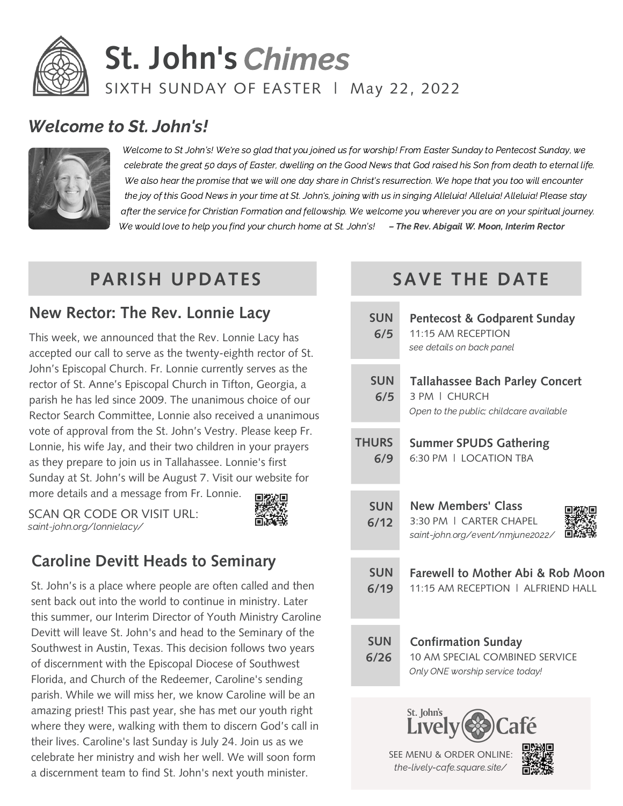

## **St. John's** Chimes SIXTH SUNDAY OF EASTER | May 22, 2022

#### Welcome to St. John's!



Welcome to St John's! We're so glad that you joined us for worship! From Easter Sunday to Pentecost Sunday, we celebrate the great 50 days of Easter, dwelling on the Good News that God raised his Son from death to eternal life. We also hear the promise that we will one day share in Christ's resurrection. We hope that you too will encounter the joy of this Good News in your time at St. John's, joining with us in singing Alleluia! Alleluia! Alleluia! Please stay after the service for Christian Formation and fellowship. We welcome you wherever you are on your spiritual journey. We would love to help you find your church home at St. John's! - The Rev. Abigail W. Moon, Interim Rector

 $\overline{\mathsf{T}}$ 

#### **PARISH UPDATES**

#### **New Rector: The Rev. Lonnie Lacy**

This week, we announced that the Rev. Lonnie Lacy has accepted our call to serve as the twenty-eighth rector of St. John's Episcopal Church. Fr. Lonnie currently serves as the rector of St. Anne's Episcopal Church in Tifton, Georgia, a parish he has led since 2009. The unanimous choice of our Rector Search Committee, Lonnie also received a unanimous vote of approval from the St. John's Vestry. Please keep Fr. Lonnie, his wife Jay, and their two children in your prayers as they prepare to join us in Tallahassee. Lonnie's first Sunday at St. John's will be August 7. Visit our website for more details and a message from Fr. Lonnie.

SCAN QR CODE OR VISIT URL: saint-john.org/lonnielacy/



#### **Caroline Devitt Heads to Seminary**

St. John's is a place where people are often called and then sent back out into the world to continue in ministry. Later this summer, our Interim Director of Youth Ministry Caroline Devitt will leave St. John's and head to the Seminary of the Southwest in Austin, Texas. This decision follows two years of discernment with the Episcopal Diocese of Southwest Florida, and Church of the Redeemer, Caroline's sending parish. While we will miss her, we know Caroline will be an amazing priest! This past year, she has met our youth right where they were, walking with them to discern God's call in their lives. Caroline's last Sunday is July 24. Join us as we celebrate her ministry and wish her well. We will soon form a discernment team to find St. John's next youth minister.

### **SAVE THE DATE**

| <b>SUN</b><br>6/5  | Pentecost & Godparent Sunday<br>11:15 AM RECEPTION<br>see details on back panel                        |  |  |  |  |  |  |
|--------------------|--------------------------------------------------------------------------------------------------------|--|--|--|--|--|--|
| <b>SUN</b><br>6/5  | <b>Tallahassee Bach Parley Concert</b><br>3 PM   CHURCH<br>Open to the public; childcare available     |  |  |  |  |  |  |
| <b>HURS</b><br>6/9 | <b>Summer SPUDS Gathering</b><br>6:30 PM   LOCATION TRA                                                |  |  |  |  |  |  |
| <b>SUN</b><br>6/12 | <b>New Members' Class</b><br>3:30 PM   CARTER CHAPFI<br>saint-john.org/event/nmjune2022/               |  |  |  |  |  |  |
| <b>SUN</b><br>6/19 | <b>Farewell to Mother Abi &amp; Rob Moon</b><br>11:15 AM RECEPTION   ALFRIEND HALL                     |  |  |  |  |  |  |
| <b>SUN</b><br>6/26 | <b>Confirmation Sunday</b><br><b>10 AM SPECIAL COMBINED SERVICE</b><br>Only ONE worship service today! |  |  |  |  |  |  |
|                    | St. John's<br>Café<br>Livel                                                                            |  |  |  |  |  |  |

SEE MENU & ORDER ONLINE: the-lively-cafe.square.site/